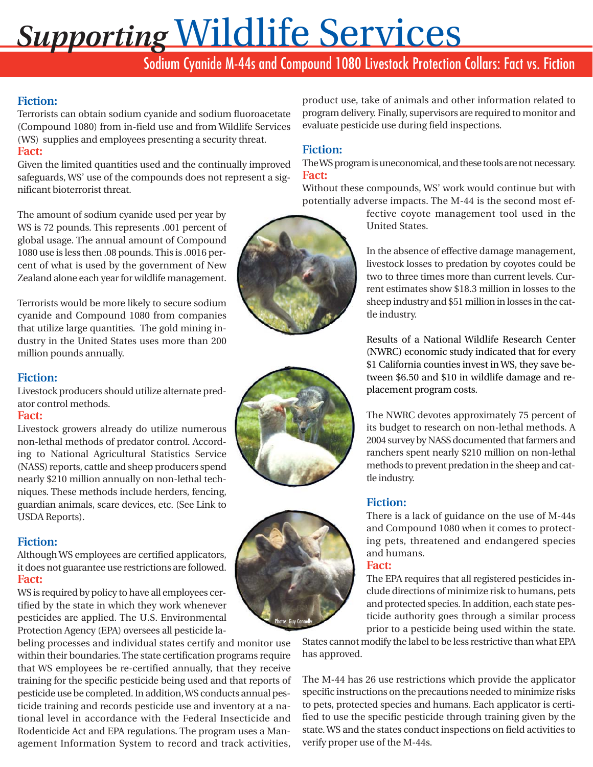# *Supporting* Wildlife Services

# Sodium Cyanide M-44s and Compound 1080 Livestock Protection Collars: Fact vs. Fiction

## **Fiction:**

Terrorists can obtain sodium cyanide and sodium fluoroacetate (Compound 1080) from in-field use and from Wildlife Services (WS) supplies and employees presenting a security threat. **Fact:**

Given the limited quantities used and the continually improved safeguards, WS' use of the compounds does not represent a significant bioterrorist threat.

The amount of sodium cyanide used per year by WS is 72 pounds. This represents .001 percent of global usage. The annual amount of Compound 1080 use is less then .08 pounds. This is .0016 percent of what is used by the government of New Zealand alone each year for wildlife management.

Terrorists would be more likely to secure sodium cyanide and Compound 1080 from companies that utilize large quantities. The gold mining industry in the United States uses more than 200 million pounds annually.

## **Fiction:**

Livestock producers should utilize alternate predator control methods.

#### **Fact:**

Livestock growers already do utilize numerous non-lethal methods of predator control. According to National Agricultural Statistics Service (NASS) reports, cattle and sheep producers spend nearly \$210 million annually on non-lethal techniques. These methods include herders, fencing, guardian animals, scare devices, etc. (See Link to USDA Reports).

## **Fiction:**

Although WS employees are certified applicators, it does not guarantee use restrictions are followed. **Fact:**

WS is required by policy to have all employees certified by the state in which they work whenever pesticides are applied. The U.S. Environmental Protection Agency (EPA) oversees all pesticide la-

beling processes and individual states certify and monitor use within their boundaries. The state certification programs require that WS employees be re-certified annually, that they receive training for the specific pesticide being used and that reports of pesticide use be completed. In addition, WS conducts annual pesticide training and records pesticide use and inventory at a national level in accordance with the Federal Insecticide and Rodenticide Act and EPA regulations. The program uses a Management Information System to record and track activities,



evaluate pesticide use during field inspections.

Without these compounds, WS' work would continue but with potentially adverse impacts. The M-44 is the second most ef-

product use, take of animals and other information related to program delivery. Finally, supervisors are required to monitor and

> fective coyote management tool used in the United States.

> In the absence of effective damage management, livestock losses to predation by coyotes could be two to three times more than current levels. Current estimates show \$18.3 million in losses to the sheep industry and \$51 million in losses in the cattle industry.

> Results of a National Wildlife Research Center (NWRC) economic study indicated that for every \$1 California counties invest in WS, they save between \$6.50 and \$10 in wildlife damage and replacement program costs.

> The NWRC devotes approximately 75 percent of its budget to research on non-lethal methods. A 2004 survey by NASS documented that farmers and ranchers spent nearly \$210 million on non-lethal methods to prevent predation in the sheep and cattle industry.

## **Fiction:**

There is a lack of guidance on the use of M-44s and Compound 1080 when it comes to protecting pets, threatened and endangered species and humans.

#### **Fact:**

The EPA requires that all registered pesticides include directions of minimize risk to humans, pets and protected species. In addition, each state pesticide authority goes through a similar process prior to a pesticide being used within the state.

States cannot modify the label to be less restrictive than what EPA has approved.

The M-44 has 26 use restrictions which provide the applicator specific instructions on the precautions needed to minimize risks to pets, protected species and humans. Each applicator is certified to use the specific pesticide through training given by the state. WS and the states conduct inspections on field activities to verify proper use of the M-44s.





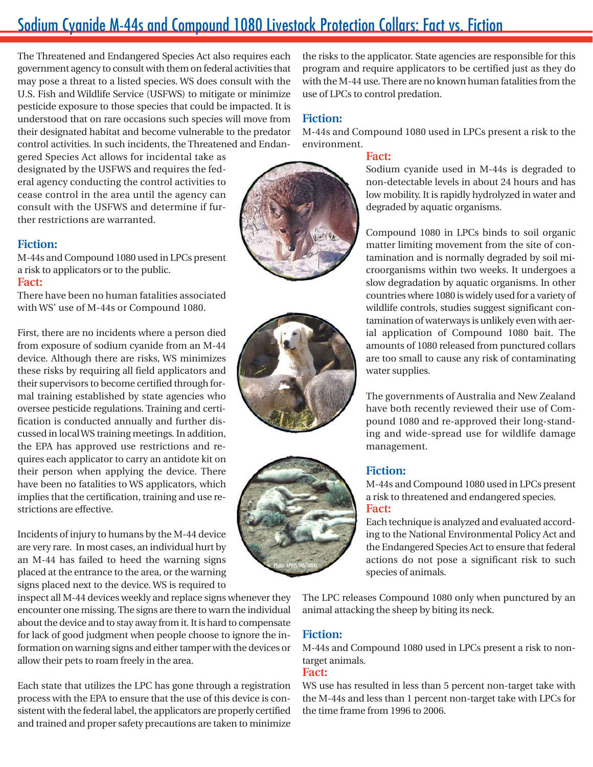## Sodium Cyanide M-44s and Compound 1080 Livestock Protection Collars: Fact vs. Fiction

The Threatened and Endangered Species Act also requires each government agency to consult with them on federal activities that may pose a threat to a listed species. WS does consult with the U.S. Fish and Wildlife Service (USFWS) to mitigate or minimize pesticide exposure to those species that could be impacted. It is understood that on rare occasions such species will move from their designated habitat and become vulnerable to the predator control activities. In such incidents, the Threatened and Endan-

gered Species Act allows for incidental take as designated by the USFWS and requires the federal agency conducting the control activities to cease control in the area until the agency can consult with the USFWS and determine if further restrictions are warranted.

#### **Fiction:**

M-44s and Compound 1080 used in LPCs present a risk to applicators or to the public. **Fact:**

There have been no human fatalities associated with WS' use of M-44s or Compound 1080.

First, there are no incidents where a person died from exposure of sodium cyanide from an M-44 device. Although there are risks, WS minimizes these risks by requiring all field applicators and their supervisors to become certified through formal training established by state agencies who oversee pesticide regulations. Training and certification is conducted annually and further discussed in local WS training meetings. In addition, the EPA has approved use restrictions and requires each applicator to carry an antidote kit on their person when applying the device. There have been no fatalities to WS applicators, which implies that the certification, training and use restrictions are effective.

Incidents of injury to humans by the M-44 device are very rare. In most cases, an individual hurt by an M-44 has failed to heed the warning signs placed at the entrance to the area, or the warning signs placed next to the device. WS is required to

inspect all M-44 devices weekly and replace signs whenever they encounter one missing. The signs are there to warn the individual about the device and to stay away from it. It is hard to compensate for lack of good judgment when people choose to ignore the information on warning signs and either tamper with the devices or allow their pets to roam freely in the area.

Each state that utilizes the LPC has gone through a registration process with the EPA to ensure that the use of this device is consistent with the federal label, the applicators are properly certified and trained and proper safety precautions are taken to minimize

the risks to the applicator. State agencies are responsible for this program and require applicators to be certified just as they do with the M-44 use. There are no known human fatalities from the use of LPCs to control predation.

#### **Fiction:**

M-44s and Compound 1080 used in LPCs present a risk to the environment.

#### **Fact:**

Sodium cyanide used in M-44s is degraded to non-detectable levels in about 24 hours and has low mobility. It is rapidly hydrolyzed in water and degraded by aquatic organisms.

Compound 1080 in LPCs binds to soil organic matter limiting movement from the site of contamination and is normally degraded by soil microorganisms within two weeks. It undergoes a slow degradation by aquatic organisms. In other countries where 1080 is widely used for a variety of wildlife controls, studies suggest significant contamination of waterways is unlikely even with aerial application of Compound 1080 bait. The amounts of 1080 released from punctured collars are too small to cause any risk of contaminating water supplies.

The governments of Australia and New Zealand have both recently reviewed their use of Compound 1080 and re-approved their long-standing and wide-spread use for wildlife damage management.

#### **Fiction:**

M-44s and Compound 1080 used in LPCs present a risk to threatened and endangered species. **Fact:**

Each technique is analyzed and evaluated according to the National Environmental Policy Act and the Endangered Species Act to ensure that federal actions do not pose a significant risk to such species of animals.

The LPC releases Compound 1080 only when punctured by an animal attacking the sheep by biting its neck.

## **Fiction:**

M-44s and Compound 1080 used in LPCs present a risk to nontarget animals.

#### **Fact:**

WS use has resulted in less than 5 percent non-target take with the M-44s and less than 1 percent non-target take with LPCs for the time frame from 1996 to 2006.